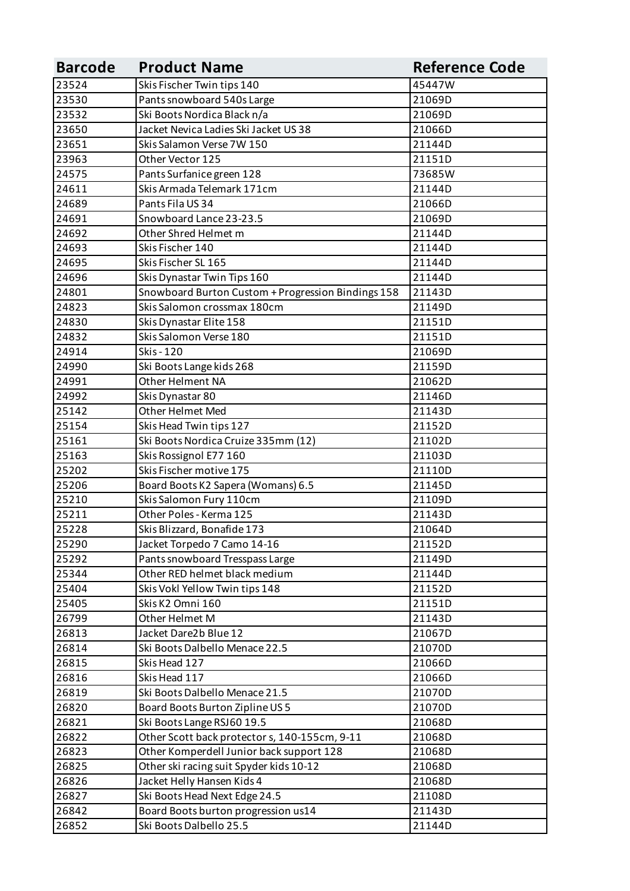| <b>Barcode</b> | <b>Product Name</b>                                | <b>Reference Code</b> |
|----------------|----------------------------------------------------|-----------------------|
| 23524          | Skis Fischer Twin tips 140                         | 45447W                |
| 23530          | Pants snowboard 540s Large                         | 21069D                |
| 23532          | Ski Boots Nordica Black n/a                        | 21069D                |
| 23650          | Jacket Nevica Ladies Ski Jacket US 38              | 21066D                |
| 23651          | Skis Salamon Verse 7W 150                          | 21144D                |
| 23963          | Other Vector 125                                   | 21151D                |
| 24575          | Pants Surfanice green 128                          | 73685W                |
| 24611          | Skis Armada Telemark 171cm                         | 21144D                |
| 24689          | Pants Fila US 34                                   | 21066D                |
| 24691          | Snowboard Lance 23-23.5                            | 21069D                |
| 24692          | Other Shred Helmet m                               | 21144D                |
| 24693          | Skis Fischer 140                                   | 21144D                |
| 24695          | Skis Fischer SL 165                                | 21144D                |
| 24696          | Skis Dynastar Twin Tips 160                        | 21144D                |
| 24801          | Snowboard Burton Custom + Progression Bindings 158 | 21143D                |
| 24823          | Skis Salomon crossmax 180cm                        | 21149D                |
| 24830          | Skis Dynastar Elite 158                            | 21151D                |
| 24832          | Skis Salomon Verse 180                             | 21151D                |
| 24914          | Skis - 120                                         | 21069D                |
| 24990          | Ski Boots Lange kids 268                           | 21159D                |
| 24991          | Other Helment NA                                   | 21062D                |
| 24992          | Skis Dynastar 80                                   | 21146D                |
| 25142          | Other Helmet Med                                   | 21143D                |
| 25154          | Skis Head Twin tips 127                            | 21152D                |
| 25161          | Ski Boots Nordica Cruize 335mm (12)                | 21102D                |
| 25163          | Skis Rossignol E77 160                             | 21103D                |
| 25202          | Skis Fischer motive 175                            | 21110D                |
| 25206          | Board Boots K2 Sapera (Womans) 6.5                 | 21145D                |
| 25210          | Skis Salomon Fury 110cm                            | 21109D                |
| 25211          | Other Poles - Kerma 125                            | 21143D                |
| 25228          | Skis Blizzard, Bonafide 173                        | 21064D                |
| 25290          | Jacket Torpedo 7 Camo 14-16                        | 21152D                |
| 25292          | Pants snowboard Tresspass Large                    | 21149D                |
| 25344          | Other RED helmet black medium                      | 21144D                |
| 25404          | Skis Vokl Yellow Twin tips 148                     | 21152D                |
| 25405          | Skis K2 Omni 160                                   | 21151D                |
| 26799          | Other Helmet M                                     | 21143D                |
| 26813          | Jacket Dare2b Blue 12                              | 21067D                |
| 26814          | Ski Boots Dalbello Menace 22.5                     | 21070D                |
| 26815          | Skis Head 127                                      | 21066D                |
| 26816          | Skis Head 117                                      | 21066D                |
| 26819          | Ski Boots Dalbello Menace 21.5                     | 21070D                |
| 26820          | Board Boots Burton Zipline US 5                    | 21070D                |
| 26821          | Ski Boots Lange RSJ60 19.5                         | 21068D                |
| 26822          | Other Scott back protector s, 140-155cm, 9-11      | 21068D                |
| 26823          | Other Komperdell Junior back support 128           | 21068D                |
| 26825          | Other ski racing suit Spyder kids 10-12            | 21068D                |
| 26826          | Jacket Helly Hansen Kids 4                         | 21068D                |
| 26827          | Ski Boots Head Next Edge 24.5                      | 21108D                |
| 26842          | Board Boots burton progression us14                | 21143D                |
| 26852          | Ski Boots Dalbello 25.5                            | 21144D                |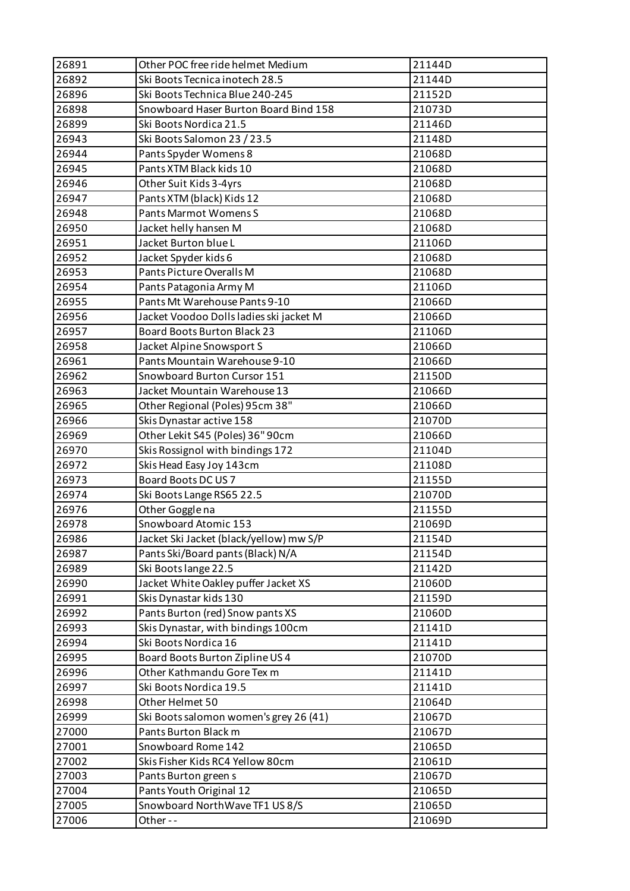| 26891 | Other POC free ride helmet Medium       | 21144D |
|-------|-----------------------------------------|--------|
| 26892 | Ski Boots Tecnica inotech 28.5          | 21144D |
| 26896 | Ski Boots Technica Blue 240-245         | 21152D |
| 26898 | Snowboard Haser Burton Board Bind 158   | 21073D |
| 26899 | Ski Boots Nordica 21.5                  | 21146D |
| 26943 | Ski Boots Salomon 23 / 23.5             | 21148D |
| 26944 | Pants Spyder Womens 8                   | 21068D |
| 26945 | Pants XTM Black kids 10                 | 21068D |
| 26946 | Other Suit Kids 3-4yrs                  | 21068D |
| 26947 | Pants XTM (black) Kids 12               | 21068D |
| 26948 | Pants Marmot Womens S                   | 21068D |
| 26950 | Jacket helly hansen M                   | 21068D |
| 26951 | Jacket Burton blue L                    | 21106D |
| 26952 | Jacket Spyder kids 6                    | 21068D |
| 26953 | Pants Picture Overalls M                | 21068D |
| 26954 | Pants Patagonia Army M                  | 21106D |
| 26955 | Pants Mt Warehouse Pants 9-10           | 21066D |
| 26956 | Jacket Voodoo Dolls ladies ski jacket M | 21066D |
| 26957 | <b>Board Boots Burton Black 23</b>      | 21106D |
| 26958 | Jacket Alpine Snowsport S               | 21066D |
| 26961 | Pants Mountain Warehouse 9-10           | 21066D |
| 26962 | Snowboard Burton Cursor 151             | 21150D |
| 26963 | Jacket Mountain Warehouse 13            | 21066D |
| 26965 | Other Regional (Poles) 95cm 38"         | 21066D |
| 26966 | Skis Dynastar active 158                | 21070D |
| 26969 | Other Lekit S45 (Poles) 36" 90cm        | 21066D |
| 26970 | Skis Rossignol with bindings 172        | 21104D |
| 26972 | Skis Head Easy Joy 143cm                | 21108D |
| 26973 | Board Boots DC US 7                     | 21155D |
| 26974 | Ski Boots Lange RS65 22.5               | 21070D |
| 26976 | Other Goggle na                         | 21155D |
| 26978 | Snowboard Atomic 153                    | 21069D |
| 26986 | Jacket Ski Jacket (black/yellow) mw S/P | 21154D |
| 26987 | Pants Ski/Board pants (Black) N/A       | 21154D |
| 26989 | Ski Boots lange 22.5                    | 21142D |
| 26990 | Jacket White Oakley puffer Jacket XS    | 21060D |
| 26991 | Skis Dynastar kids 130                  | 21159D |
| 26992 | Pants Burton (red) Snow pants XS        | 21060D |
| 26993 | Skis Dynastar, with bindings 100cm      | 21141D |
| 26994 | Ski Boots Nordica 16                    | 21141D |
| 26995 | Board Boots Burton Zipline US 4         | 21070D |
| 26996 | Other Kathmandu Gore Tex m              | 21141D |
| 26997 | Ski Boots Nordica 19.5                  | 21141D |
| 26998 | Other Helmet 50                         | 21064D |
| 26999 | Ski Boots salomon women's grey 26 (41)  | 21067D |
| 27000 | Pants Burton Black m                    | 21067D |
| 27001 | Snowboard Rome 142                      | 21065D |
| 27002 | Skis Fisher Kids RC4 Yellow 80cm        | 21061D |
| 27003 | Pants Burton green s                    | 21067D |
| 27004 | Pants Youth Original 12                 | 21065D |
| 27005 | Snowboard NorthWave TF1 US 8/S          | 21065D |
| 27006 | Other--                                 | 21069D |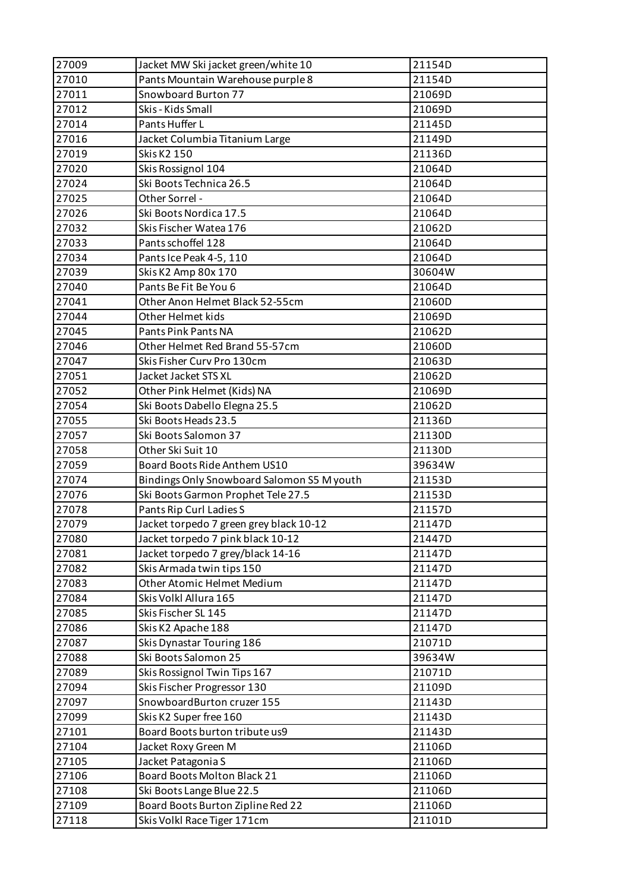| 27009 | Jacket MW Ski jacket green/white 10        | 21154D |
|-------|--------------------------------------------|--------|
| 27010 | Pants Mountain Warehouse purple 8          | 21154D |
| 27011 | Snowboard Burton 77                        | 21069D |
| 27012 | Skis - Kids Small                          | 21069D |
| 27014 | Pants Huffer L                             | 21145D |
| 27016 | Jacket Columbia Titanium Large             | 21149D |
| 27019 | <b>Skis K2 150</b>                         | 21136D |
| 27020 | Skis Rossignol 104                         | 21064D |
| 27024 | Ski Boots Technica 26.5                    | 21064D |
| 27025 | Other Sorrel -                             | 21064D |
| 27026 | Ski Boots Nordica 17.5                     | 21064D |
| 27032 | Skis Fischer Watea 176                     | 21062D |
| 27033 | Pants schoffel 128                         | 21064D |
| 27034 | Pants Ice Peak 4-5, 110                    | 21064D |
| 27039 | Skis K2 Amp 80x 170                        | 30604W |
| 27040 | Pants Be Fit Be You 6                      | 21064D |
| 27041 | Other Anon Helmet Black 52-55cm            | 21060D |
| 27044 | Other Helmet kids                          | 21069D |
| 27045 | Pants Pink Pants NA                        | 21062D |
| 27046 | Other Helmet Red Brand 55-57cm             | 21060D |
| 27047 | Skis Fisher Curv Pro 130cm                 | 21063D |
| 27051 | Jacket Jacket STS XL                       | 21062D |
| 27052 | Other Pink Helmet (Kids) NA                | 21069D |
| 27054 | Ski Boots Dabello Elegna 25.5              | 21062D |
| 27055 | Ski Boots Heads 23.5                       | 21136D |
| 27057 | Ski Boots Salomon 37                       | 21130D |
| 27058 | Other Ski Suit 10                          | 21130D |
| 27059 | Board Boots Ride Anthem US10               | 39634W |
| 27074 | Bindings Only Snowboard Salomon S5 M youth | 21153D |
| 27076 | Ski Boots Garmon Prophet Tele 27.5         | 21153D |
| 27078 | Pants Rip Curl Ladies S                    | 21157D |
| 27079 | Jacket torpedo 7 green grey black 10-12    | 21147D |
| 27080 | Jacket torpedo 7 pink black 10-12          | 21447D |
| 27081 | Jacket torpedo 7 grey/black 14-16          | 21147D |
| 27082 | Skis Armada twin tips 150                  | 21147D |
| 27083 | Other Atomic Helmet Medium                 | 21147D |
| 27084 | Skis Volkl Allura 165                      | 21147D |
| 27085 | Skis Fischer SL 145                        | 21147D |
| 27086 | Skis K2 Apache 188                         | 21147D |
| 27087 | Skis Dynastar Touring 186                  | 21071D |
| 27088 | Ski Boots Salomon 25                       | 39634W |
| 27089 | Skis Rossignol Twin Tips 167               | 21071D |
| 27094 | Skis Fischer Progressor 130                | 21109D |
| 27097 | SnowboardBurton cruzer 155                 | 21143D |
| 27099 | Skis K2 Super free 160                     | 21143D |
| 27101 | Board Boots burton tribute us9             | 21143D |
| 27104 | Jacket Roxy Green M                        | 21106D |
| 27105 | Jacket Patagonia S                         | 21106D |
| 27106 | Board Boots Molton Black 21                | 21106D |
| 27108 | Ski Boots Lange Blue 22.5                  | 21106D |
| 27109 | Board Boots Burton Zipline Red 22          | 21106D |
| 27118 | Skis Volkl Race Tiger 171cm                | 21101D |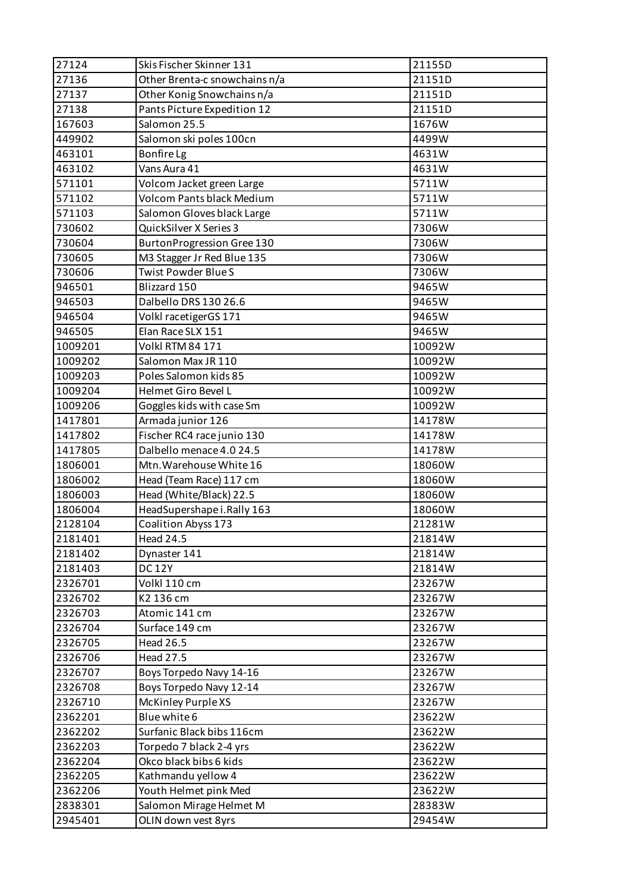| 27124   | Skis Fischer Skinner 131         | 21155D |
|---------|----------------------------------|--------|
| 27136   | Other Brenta-c snowchains n/a    | 21151D |
| 27137   | Other Konig Snowchains n/a       | 21151D |
| 27138   | Pants Picture Expedition 12      | 21151D |
| 167603  | Salomon 25.5                     | 1676W  |
| 449902  | Salomon ski poles 100cn          | 4499W  |
| 463101  | Bonfire Lg                       | 4631W  |
| 463102  | Vans Aura 41                     | 4631W  |
| 571101  | Volcom Jacket green Large        | 5711W  |
| 571102  | <b>Volcom Pants black Medium</b> | 5711W  |
| 571103  | Salomon Gloves black Large       | 5711W  |
| 730602  | QuickSilver X Series 3           | 7306W  |
| 730604  | BurtonProgression Gree 130       | 7306W  |
| 730605  | M3 Stagger Jr Red Blue 135       | 7306W  |
| 730606  | <b>Twist Powder Blue S</b>       | 7306W  |
| 946501  | Blizzard 150                     | 9465W  |
| 946503  | Dalbello DRS 130 26.6            | 9465W  |
| 946504  | Volkl racetigerGS 171            | 9465W  |
| 946505  | Elan Race SLX 151                | 9465W  |
| 1009201 | Volkl RTM 84 171                 | 10092W |
| 1009202 | Salomon Max JR 110               | 10092W |
| 1009203 | Poles Salomon kids 85            | 10092W |
| 1009204 | Helmet Giro Bevel L              | 10092W |
| 1009206 | Goggles kids with case Sm        | 10092W |
| 1417801 | Armada junior 126                | 14178W |
| 1417802 | Fischer RC4 race junio 130       | 14178W |
| 1417805 | Dalbello menace 4.0 24.5         | 14178W |
| 1806001 | Mtn. Warehouse White 16          | 18060W |
| 1806002 | Head (Team Race) 117 cm          | 18060W |
| 1806003 | Head (White/Black) 22.5          | 18060W |
| 1806004 | HeadSupershape i.Rally 163       | 18060W |
| 2128104 | Coalition Abyss 173              | 21281W |
| 2181401 | <b>Head 24.5</b>                 | 21814W |
| 2181402 | Dynaster 141                     | 21814W |
| 2181403 | <b>DC 12Y</b>                    | 21814W |
| 2326701 | $\sqrt{\frac{1}{10}}$ Cm         | 23267W |
| 2326702 | K2 136 cm                        | 23267W |
| 2326703 | Atomic 141 cm                    | 23267W |
| 2326704 | Surface 149 cm                   | 23267W |
| 2326705 | <b>Head 26.5</b>                 | 23267W |
| 2326706 | <b>Head 27.5</b>                 | 23267W |
| 2326707 | Boys Torpedo Navy 14-16          | 23267W |
| 2326708 | Boys Torpedo Navy 12-14          | 23267W |
| 2326710 | McKinley Purple XS               | 23267W |
| 2362201 | Blue white 6                     | 23622W |
| 2362202 | Surfanic Black bibs 116cm        | 23622W |
| 2362203 | Torpedo 7 black 2-4 yrs          | 23622W |
| 2362204 | Okco black bibs 6 kids           | 23622W |
| 2362205 | Kathmandu yellow 4               | 23622W |
| 2362206 | Youth Helmet pink Med            | 23622W |
| 2838301 | Salomon Mirage Helmet M          | 28383W |
| 2945401 | OLIN down vest 8yrs              | 29454W |
|         |                                  |        |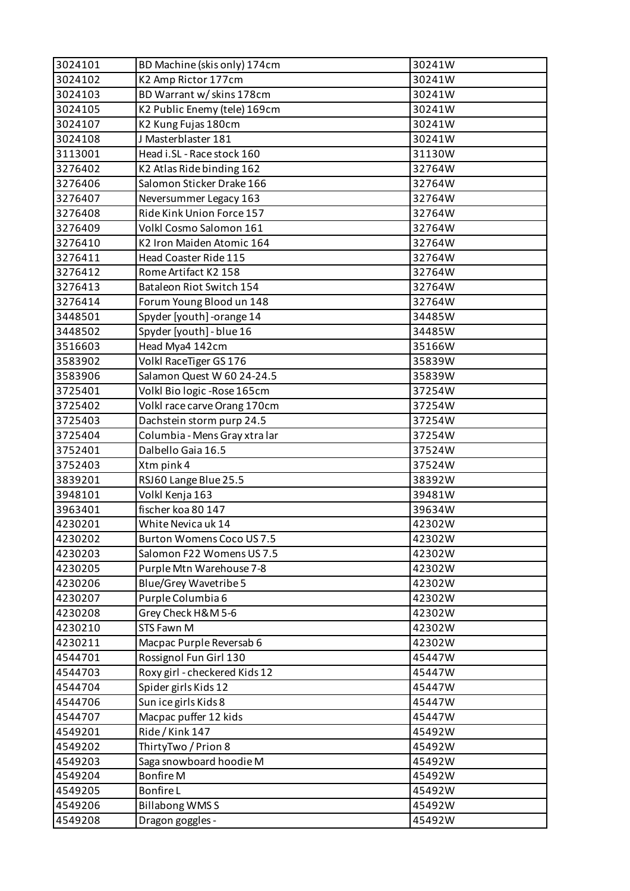| 3024101 | BD Machine (skis only) 174cm  | 30241W |
|---------|-------------------------------|--------|
| 3024102 | K2 Amp Rictor 177cm           | 30241W |
| 3024103 | BD Warrant w/ skins 178cm     | 30241W |
| 3024105 | K2 Public Enemy (tele) 169cm  | 30241W |
| 3024107 | K2 Kung Fujas 180cm           | 30241W |
| 3024108 | J Masterblaster 181           | 30241W |
| 3113001 | Head i.SL - Race stock 160    | 31130W |
| 3276402 | K2 Atlas Ride binding 162     | 32764W |
| 3276406 | Salomon Sticker Drake 166     | 32764W |
| 3276407 | Neversummer Legacy 163        | 32764W |
| 3276408 | Ride Kink Union Force 157     | 32764W |
| 3276409 | Volkl Cosmo Salomon 161       | 32764W |
| 3276410 | K2 Iron Maiden Atomic 164     | 32764W |
| 3276411 | Head Coaster Ride 115         | 32764W |
| 3276412 | Rome Artifact K2 158          | 32764W |
| 3276413 | Bataleon Riot Switch 154      | 32764W |
| 3276414 | Forum Young Blood un 148      | 32764W |
| 3448501 | Spyder [youth] -orange 14     | 34485W |
| 3448502 | Spyder [youth] - blue 16      | 34485W |
| 3516603 | Head Mya4 142cm               | 35166W |
| 3583902 | Volkl RaceTiger GS 176        | 35839W |
| 3583906 | Salamon Quest W 60 24-24.5    | 35839W |
| 3725401 | Volkl Bio logic -Rose 165cm   | 37254W |
| 3725402 | Volkl race carve Orang 170cm  | 37254W |
| 3725403 | Dachstein storm purp 24.5     | 37254W |
| 3725404 | Columbia - Mens Gray xtra lar | 37254W |
| 3752401 | Dalbello Gaia 16.5            | 37524W |
| 3752403 | Xtm pink 4                    | 37524W |
| 3839201 | RSJ60 Lange Blue 25.5         | 38392W |
| 3948101 | Volkl Kenja 163               | 39481W |
| 3963401 | fischer koa 80 147            | 39634W |
| 4230201 | White Nevica uk 14            | 42302W |
| 4230202 | Burton Womens Coco US 7.5     | 42302W |
| 4230203 | Salomon F22 Womens US 7.5     | 42302W |
| 4230205 | Purple Mtn Warehouse 7-8      | 42302W |
| 4230206 | Blue/Grey Wavetribe 5         | 42302W |
| 4230207 | Purple Columbia 6             | 42302W |
| 4230208 | Grey Check H&M 5-6            | 42302W |
| 4230210 | <b>STS Fawn M</b>             | 42302W |
| 4230211 | Macpac Purple Reversab 6      | 42302W |
| 4544701 | Rossignol Fun Girl 130        | 45447W |
| 4544703 | Roxy girl - checkered Kids 12 | 45447W |
| 4544704 | Spider girls Kids 12          | 45447W |
| 4544706 | Sun ice girls Kids 8          | 45447W |
| 4544707 | Macpac puffer 12 kids         | 45447W |
| 4549201 | Ride / Kink 147               | 45492W |
| 4549202 | ThirtyTwo / Prion 8           | 45492W |
| 4549203 | Saga snowboard hoodie M       | 45492W |
| 4549204 | <b>Bonfire M</b>              | 45492W |
| 4549205 | Bonfire L                     | 45492W |
| 4549206 | <b>Billabong WMSS</b>         | 45492W |
| 4549208 | Dragon goggles -              | 45492W |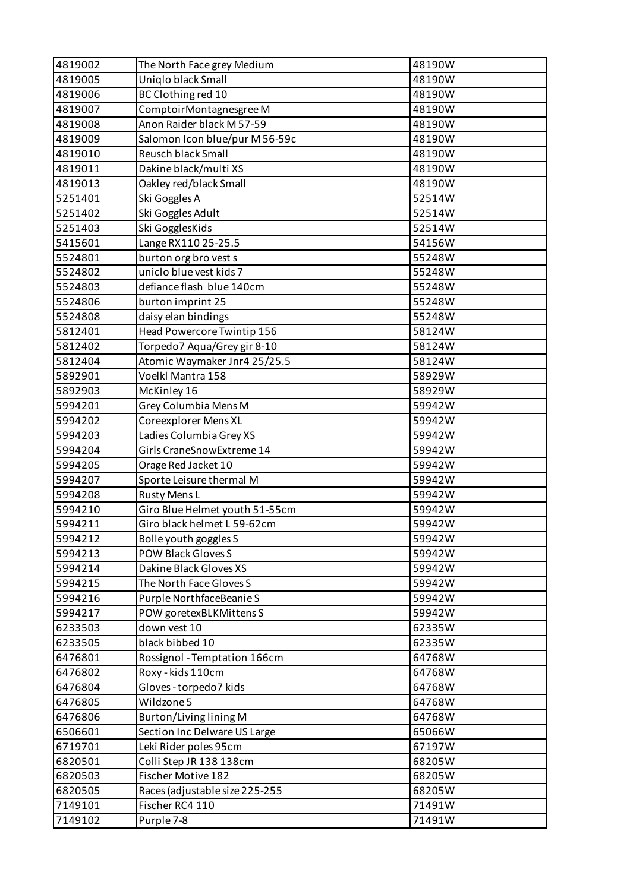| 4819002 | The North Face grey Medium     | 48190W |
|---------|--------------------------------|--------|
| 4819005 | Uniqlo black Small             | 48190W |
| 4819006 | BC Clothing red 10             | 48190W |
| 4819007 | ComptoirMontagnesgree M        | 48190W |
| 4819008 | Anon Raider black M 57-59      | 48190W |
| 4819009 | Salomon Icon blue/pur M 56-59c | 48190W |
| 4819010 | Reusch black Small             | 48190W |
| 4819011 | Dakine black/multi XS          | 48190W |
| 4819013 | Oakley red/black Small         | 48190W |
| 5251401 | Ski Goggles A                  | 52514W |
| 5251402 | Ski Goggles Adult              | 52514W |
| 5251403 | Ski GogglesKids                | 52514W |
| 5415601 | Lange RX110 25-25.5            | 54156W |
| 5524801 | burton org bro vest s          | 55248W |
| 5524802 | uniclo blue vest kids 7        | 55248W |
| 5524803 | defiance flash blue 140cm      | 55248W |
| 5524806 | burton imprint 25              | 55248W |
| 5524808 | daisy elan bindings            | 55248W |
| 5812401 | Head Powercore Twintip 156     | 58124W |
| 5812402 | Torpedo7 Aqua/Grey gir 8-10    | 58124W |
| 5812404 | Atomic Waymaker Jnr4 25/25.5   | 58124W |
| 5892901 | Voelkl Mantra 158              | 58929W |
| 5892903 | McKinley 16                    | 58929W |
| 5994201 | Grey Columbia Mens M           | 59942W |
| 5994202 | <b>Coreexplorer Mens XL</b>    | 59942W |
| 5994203 | Ladies Columbia Grey XS        | 59942W |
| 5994204 | Girls CraneSnowExtreme 14      | 59942W |
| 5994205 | Orage Red Jacket 10            | 59942W |
| 5994207 | Sporte Leisure thermal M       | 59942W |
| 5994208 | Rusty Mens L                   | 59942W |
| 5994210 | Giro Blue Helmet youth 51-55cm | 59942W |
| 5994211 | Giro black helmet L 59-62cm    | 59942W |
| 5994212 | Bolle youth goggles S          | 59942W |
| 5994213 | <b>POW Black Gloves S</b>      | 59942W |
| 5994214 | Dakine Black Gloves XS         | 59942W |
| 5994215 | The North Face Gloves S        | 59942W |
| 5994216 | Purple NorthfaceBeanie S       | 59942W |
| 5994217 | POW goretexBLKMittens S        | 59942W |
| 6233503 | down vest 10                   | 62335W |
| 6233505 | black bibbed 10                | 62335W |
| 6476801 | Rossignol - Temptation 166cm   | 64768W |
| 6476802 | Roxy - kids 110cm              | 64768W |
| 6476804 | Gloves-torpedo7 kids           | 64768W |
| 6476805 | Wildzone 5                     | 64768W |
| 6476806 | Burton/Living lining M         | 64768W |
| 6506601 | Section Inc Delware US Large   | 65066W |
| 6719701 | Leki Rider poles 95cm          | 67197W |
| 6820501 | Colli Step JR 138 138cm        | 68205W |
| 6820503 | Fischer Motive 182             | 68205W |
| 6820505 | Races (adjustable size 225-255 | 68205W |
| 7149101 | Fischer RC4 110                | 71491W |
| 7149102 | Purple 7-8                     | 71491W |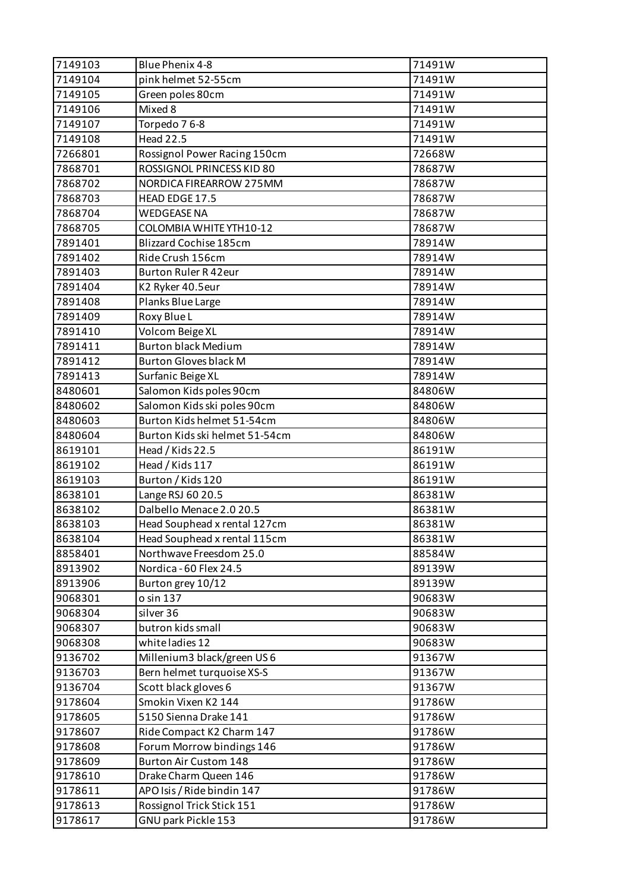| 7149103 | Blue Phenix 4-8                | 71491W |
|---------|--------------------------------|--------|
| 7149104 | pink helmet 52-55cm            | 71491W |
| 7149105 | Green poles 80cm               | 71491W |
| 7149106 | Mixed 8                        | 71491W |
| 7149107 | Torpedo 76-8                   | 71491W |
| 7149108 | <b>Head 22.5</b>               | 71491W |
| 7266801 | Rossignol Power Racing 150cm   | 72668W |
| 7868701 | ROSSIGNOL PRINCESS KID 80      | 78687W |
| 7868702 | NORDICA FIREARROW 275MM        | 78687W |
| 7868703 | HEAD EDGE 17.5                 | 78687W |
| 7868704 | <b>WEDGEASE NA</b>             | 78687W |
| 7868705 | COLOMBIA WHITE YTH10-12        | 78687W |
| 7891401 | <b>Blizzard Cochise 185cm</b>  | 78914W |
| 7891402 | Ride Crush 156cm               | 78914W |
| 7891403 | Burton Ruler R 42eur           | 78914W |
| 7891404 | K2 Ryker 40.5eur               | 78914W |
| 7891408 | Planks Blue Large              | 78914W |
| 7891409 | Roxy Blue L                    | 78914W |
| 7891410 | Volcom Beige XL                | 78914W |
| 7891411 | <b>Burton black Medium</b>     | 78914W |
| 7891412 | <b>Burton Gloves black M</b>   | 78914W |
| 7891413 | Surfanic Beige XL              | 78914W |
| 8480601 | Salomon Kids poles 90cm        | 84806W |
| 8480602 | Salomon Kids ski poles 90cm    | 84806W |
| 8480603 | Burton Kids helmet 51-54cm     | 84806W |
| 8480604 | Burton Kids ski helmet 51-54cm | 84806W |
| 8619101 | Head / Kids 22.5               | 86191W |
| 8619102 | Head / Kids 117                | 86191W |
| 8619103 | Burton / Kids 120              | 86191W |
| 8638101 | Lange RSJ 60 20.5              | 86381W |
| 8638102 | Dalbello Menace 2.0 20.5       | 86381W |
| 8638103 | Head Souphead x rental 127cm   | 86381W |
| 8638104 | Head Souphead x rental 115cm   | 86381W |
| 8858401 | Northwave Freesdom 25.0        | 88584W |
| 8913902 | Nordica - 60 Flex 24.5         | 89139W |
| 8913906 | Burton grey 10/12              | 89139W |
| 9068301 | o sin 137                      | 90683W |
| 9068304 | silver 36                      | 90683W |
| 9068307 | butron kids small              | 90683W |
| 9068308 | white ladies 12                | 90683W |
| 9136702 | Millenium3 black/green US6     | 91367W |
| 9136703 | Bern helmet turquoise XS-S     | 91367W |
| 9136704 | Scott black gloves 6           | 91367W |
| 9178604 | Smokin Vixen K2 144            | 91786W |
| 9178605 | 5150 Sienna Drake 141          | 91786W |
| 9178607 | Ride Compact K2 Charm 147      | 91786W |
| 9178608 | Forum Morrow bindings 146      | 91786W |
| 9178609 | Burton Air Custom 148          | 91786W |
| 9178610 | Drake Charm Queen 146          | 91786W |
| 9178611 | APO Isis / Ride bindin 147     | 91786W |
| 9178613 | Rossignol Trick Stick 151      | 91786W |
| 9178617 | GNU park Pickle 153            | 91786W |